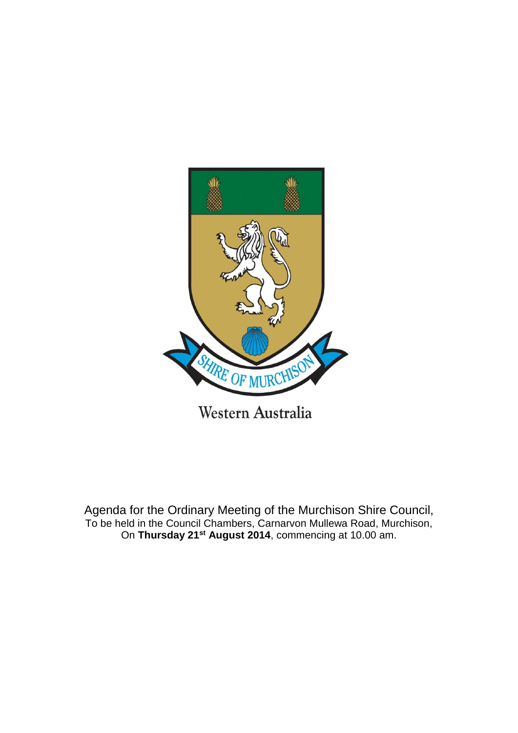

Agenda for the Ordinary Meeting of the Murchison Shire Council, To be held in the Council Chambers, Carnarvon Mullewa Road, Murchison, On **Thursday 21st August 2014**, commencing at 10.00 am.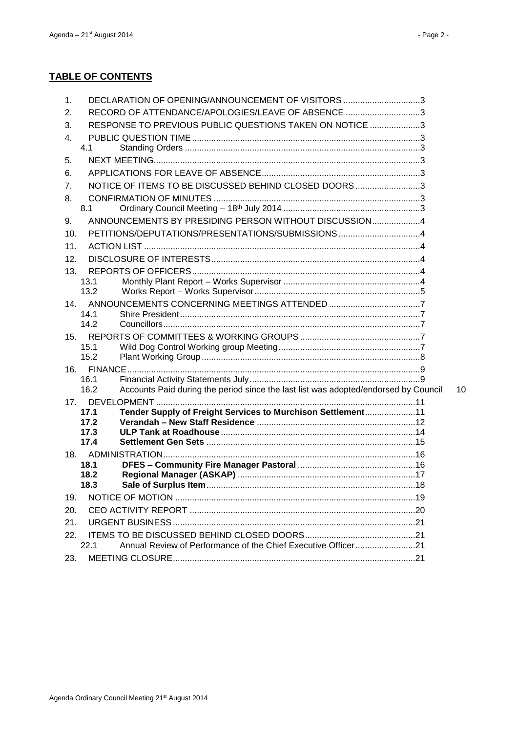# **TABLE OF CONTENTS**

| 1.              | DECLARATION OF OPENING/ANNOUNCEMENT OF VISITORS 3                                           |    |
|-----------------|---------------------------------------------------------------------------------------------|----|
| 2.              | RECORD OF ATTENDANCE/APOLOGIES/LEAVE OF ABSENCE 3                                           |    |
| 3.              | RESPONSE TO PREVIOUS PUBLIC QUESTIONS TAKEN ON NOTICE 3                                     |    |
| 4.              |                                                                                             |    |
|                 | 4.1                                                                                         |    |
| 5.              |                                                                                             |    |
| 6.              |                                                                                             |    |
| 7.              | NOTICE OF ITEMS TO BE DISCUSSED BEHIND CLOSED DOORS3                                        |    |
| 8.              |                                                                                             |    |
|                 | 8.1                                                                                         |    |
| 9.              | ANNOUNCEMENTS BY PRESIDING PERSON WITHOUT DISCUSSION4                                       |    |
| 10.             |                                                                                             |    |
| 11.             |                                                                                             |    |
| 12.             |                                                                                             |    |
| 13.             |                                                                                             |    |
|                 | 13.1                                                                                        |    |
|                 | 13.2                                                                                        |    |
| 14 <sub>1</sub> |                                                                                             |    |
|                 | 14.1                                                                                        |    |
|                 | 14.2                                                                                        |    |
| 15.             |                                                                                             |    |
|                 | 15.1<br>15.2                                                                                |    |
|                 |                                                                                             |    |
|                 | 16.1                                                                                        |    |
|                 | Accounts Paid during the period since the last list was adopted/endorsed by Council<br>16.2 | 10 |
|                 |                                                                                             |    |
|                 | Tender Supply of Freight Services to Murchison Settlement11<br>17.1                         |    |
|                 | 17.2                                                                                        |    |
|                 | 17.3                                                                                        |    |
|                 | 17.4                                                                                        |    |
|                 |                                                                                             |    |
|                 | 18.1                                                                                        |    |
|                 | 18.2                                                                                        |    |
|                 | 18.3                                                                                        |    |
| 19.             |                                                                                             |    |
| 20.             |                                                                                             |    |
| 21.             |                                                                                             |    |
| 22.             |                                                                                             |    |
|                 | Annual Review of Performance of the Chief Executive Officer21<br>22.1                       |    |
| 23.             |                                                                                             |    |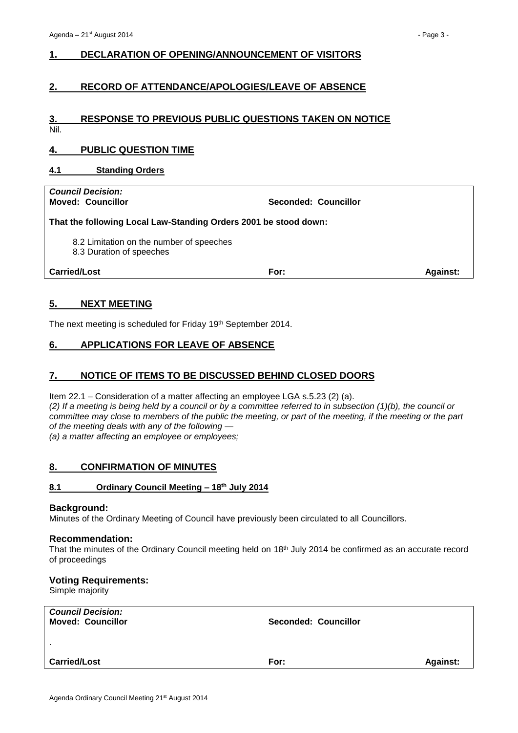# <span id="page-2-0"></span>**1. DECLARATION OF OPENING/ANNOUNCEMENT OF VISITORS**

## <span id="page-2-1"></span>**2. RECORD OF ATTENDANCE/APOLOGIES/LEAVE OF ABSENCE**

# <span id="page-2-2"></span>**3. RESPONSE TO PREVIOUS PUBLIC QUESTIONS TAKEN ON NOTICE**

Nil.

# <span id="page-2-3"></span>**4. PUBLIC QUESTION TIME**

#### <span id="page-2-4"></span>**4.1 Standing Orders**

*Council Decision:*

**Moved: Councillor Seconded: Councillor**

**That the following Local Law-Standing Orders 2001 be stood down:**

8.2 Limitation on the number of speeches

8.3 Duration of speeches

**Carried/Lost For: Against:**

## <span id="page-2-5"></span>**5. NEXT MEETING**

The next meeting is scheduled for Friday 19th September 2014.

# <span id="page-2-6"></span>**6. APPLICATIONS FOR LEAVE OF ABSENCE**

#### <span id="page-2-7"></span>**7. NOTICE OF ITEMS TO BE DISCUSSED BEHIND CLOSED DOORS**

Item 22.1 – Consideration of a matter affecting an employee LGA s.5.23 (2) (a). *(2) If a meeting is being held by a council or by a committee referred to in subsection (1)(b), the council or committee may close to members of the public the meeting, or part of the meeting, if the meeting or the part of the meeting deals with any of the following —*

*(a) a matter affecting an employee or employees;*

#### <span id="page-2-8"></span>**8. CONFIRMATION OF MINUTES**

#### <span id="page-2-9"></span>**8.1 Ordinary Council Meeting – 18th July 2014**

#### **Background:**

Minutes of the Ordinary Meeting of Council have previously been circulated to all Councillors.

#### **Recommendation:**

That the minutes of the Ordinary Council meeting held on 18<sup>th</sup> July 2014 be confirmed as an accurate record of proceedings

#### **Voting Requirements:**

Simple majority

| <b>Council Decision:</b><br><b>Moved: Councillor</b> | <b>Seconded: Councillor</b> |                 |
|------------------------------------------------------|-----------------------------|-----------------|
| $\mathbf{r}$                                         |                             |                 |
| <b>Carried/Lost</b>                                  | For:                        | <b>Against:</b> |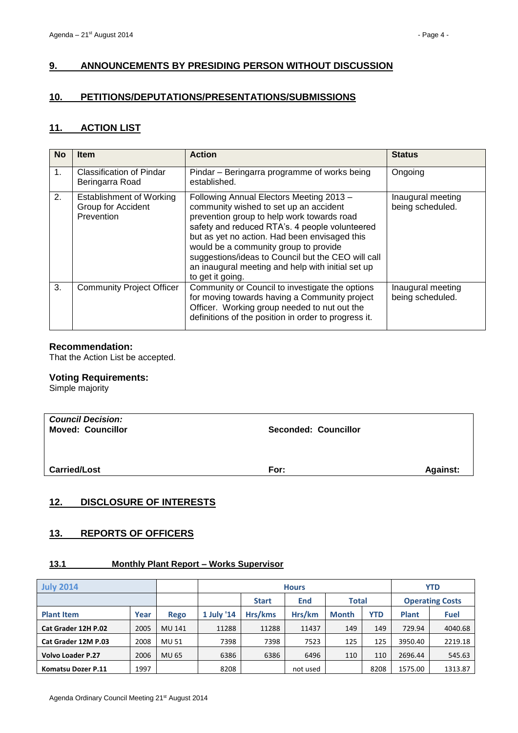# <span id="page-3-0"></span>**9. ANNOUNCEMENTS BY PRESIDING PERSON WITHOUT DISCUSSION**

## <span id="page-3-1"></span>**10. PETITIONS/DEPUTATIONS/PRESENTATIONS/SUBMISSIONS**

## <span id="page-3-2"></span>**11. ACTION LIST**

| <b>No</b> | <b>Item</b>                                                         | <b>Action</b>                                                                                                                                                                                                                                                                                                                                                                                               | <b>Status</b>                         |
|-----------|---------------------------------------------------------------------|-------------------------------------------------------------------------------------------------------------------------------------------------------------------------------------------------------------------------------------------------------------------------------------------------------------------------------------------------------------------------------------------------------------|---------------------------------------|
| 1.        | <b>Classification of Pindar</b><br>Beringarra Road                  | Pindar – Beringarra programme of works being<br>established.                                                                                                                                                                                                                                                                                                                                                | Ongoing                               |
| 2.        | <b>Establishment of Working</b><br>Group for Accident<br>Prevention | Following Annual Electors Meeting 2013 -<br>community wished to set up an accident<br>prevention group to help work towards road<br>safety and reduced RTA's. 4 people volunteered<br>but as yet no action. Had been envisaged this<br>would be a community group to provide<br>suggestions/ideas to Council but the CEO will call<br>an inaugural meeting and help with initial set up<br>to get it going. | Inaugural meeting<br>being scheduled. |
| 3.        | <b>Community Project Officer</b>                                    | Community or Council to investigate the options<br>for moving towards having a Community project<br>Officer. Working group needed to nut out the<br>definitions of the position in order to progress it.                                                                                                                                                                                                    | Inaugural meeting<br>being scheduled. |

## **Recommendation:**

That the Action List be accepted.

## **Voting Requirements:**

Simple majority

| <b>Council Decision:</b><br><b>Moved: Councillor</b> | <b>Seconded: Councillor</b> |          |
|------------------------------------------------------|-----------------------------|----------|
| <b>Carried/Lost</b>                                  | For:                        | Against: |

# <span id="page-3-3"></span>**12. DISCLOSURE OF INTERESTS**

# <span id="page-3-4"></span>**13. REPORTS OF OFFICERS**

# <span id="page-3-5"></span>**13.1 Monthly Plant Report – Works Supervisor**

| <b>July 2014</b>         |      | <b>Hours</b> |                                     |         |          |                        | <b>YTD</b> |              |             |
|--------------------------|------|--------------|-------------------------------------|---------|----------|------------------------|------------|--------------|-------------|
|                          |      |              | <b>Total</b><br>End<br><b>Start</b> |         |          | <b>Operating Costs</b> |            |              |             |
| <b>Plant Item</b>        | Year | <b>Rego</b>  | 1 July '14                          | Hrs/kms | Hrs/km   | <b>Month</b>           | <b>YTD</b> | <b>Plant</b> | <b>Fuel</b> |
| Cat Grader 12H P.02      | 2005 | MU 141       | 11288                               | 11288   | 11437    | 149                    | 149        | 729.94       | 4040.68     |
| Cat Grader 12M P.03      | 2008 | MU 51        | 7398                                | 7398    | 7523     | 125                    | 125        | 3950.40      | 2219.18     |
| <b>Volvo Loader P.27</b> | 2006 | MU 65        | 6386                                | 6386    | 6496     | 110                    | 110        | 2696.44      | 545.63      |
| Komatsu Dozer P.11       | 1997 |              | 8208                                |         | not used |                        | 8208       | 1575.00      | 1313.87     |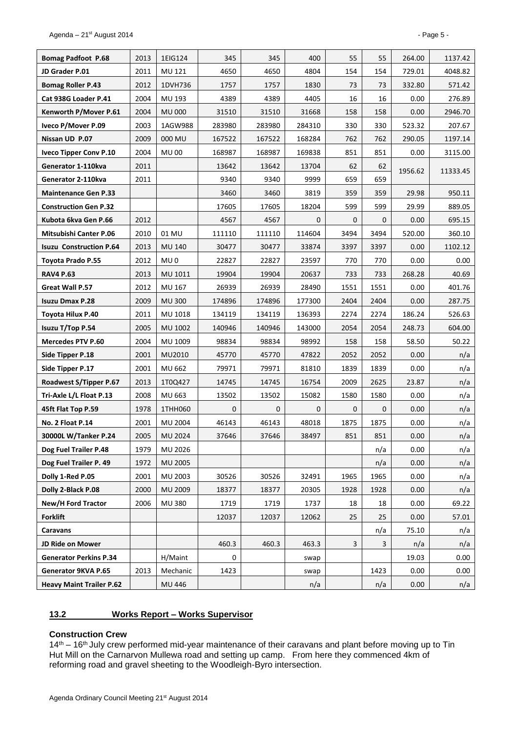| <b>Bomag Padfoot P.68</b>       | 2013 | 1EIG124         | 345         | 345         | 400          | 55           | 55          | 264.00  | 1137.42  |
|---------------------------------|------|-----------------|-------------|-------------|--------------|--------------|-------------|---------|----------|
| JD Grader P.01                  | 2011 | MU 121          | 4650        | 4650        | 4804         | 154          | 154         | 729.01  | 4048.82  |
| <b>Bomag Roller P.43</b>        | 2012 | 1DVH736         | 1757        | 1757        | 1830         | 73           | 73          | 332.80  | 571.42   |
| Cat 938G Loader P.41            | 2004 | MU 193          | 4389        | 4389        | 4405         | 16           | 16          | 0.00    | 276.89   |
| Kenworth P/Mover P.61           | 2004 | <b>MU 000</b>   | 31510       | 31510       | 31668        | 158          | 158         | 0.00    | 2946.70  |
| Iveco P/Mover P.09              | 2003 | 1AGW988         | 283980      | 283980      | 284310       | 330          | 330         | 523.32  | 207.67   |
| Nissan UD P.07                  | 2009 | 000 MU          | 167522      | 167522      | 168284       | 762          | 762         | 290.05  | 1197.14  |
| <b>Iveco Tipper Conv P.10</b>   | 2004 | <b>MU00</b>     | 168987      | 168987      | 169838       | 851          | 851         | 0.00    | 3115.00  |
| Generator 1-110kva              | 2011 |                 | 13642       | 13642       | 13704        | 62           | 62          | 1956.62 | 11333.45 |
| Generator 2-110kva              | 2011 |                 | 9340        | 9340        | 9999         | 659          | 659         |         |          |
| <b>Maintenance Gen P.33</b>     |      |                 | 3460        | 3460        | 3819         | 359          | 359         | 29.98   | 950.11   |
| <b>Construction Gen P.32</b>    |      |                 | 17605       | 17605       | 18204        | 599          | 599         | 29.99   | 889.05   |
| Kubota 6kva Gen P.66            | 2012 |                 | 4567        | 4567        | 0            | 0            | 0           | 0.00    | 695.15   |
| <b>Mitsubishi Canter P.06</b>   | 2010 | 01 MU           | 111110      | 111110      | 114604       | 3494         | 3494        | 520.00  | 360.10   |
| <b>Isuzu Construction P.64</b>  | 2013 | <b>MU 140</b>   | 30477       | 30477       | 33874        | 3397         | 3397        | 0.00    | 1102.12  |
| Toyota Prado P.55               | 2012 | MU <sub>0</sub> | 22827       | 22827       | 23597        | 770          | 770         | 0.00    | 0.00     |
| <b>RAV4 P.63</b>                | 2013 | MU 1011         | 19904       | 19904       | 20637        | 733          | 733         | 268.28  | 40.69    |
| Great Wall P.57                 | 2012 | MU 167          | 26939       | 26939       | 28490        | 1551         | 1551        | 0.00    | 401.76   |
| <b>Isuzu Dmax P.28</b>          | 2009 | <b>MU300</b>    | 174896      | 174896      | 177300       | 2404         | 2404        | 0.00    | 287.75   |
| Toyota Hilux P.40               | 2011 | MU 1018         | 134119      | 134119      | 136393       | 2274         | 2274        | 186.24  | 526.63   |
| <b>Isuzu T/Top P.54</b>         | 2005 | MU 1002         | 140946      | 140946      | 143000       | 2054         | 2054        | 248.73  | 604.00   |
| <b>Mercedes PTV P.60</b>        | 2004 | MU 1009         | 98834       | 98834       | 98992        | 158          | 158         | 58.50   | 50.22    |
| Side Tipper P.18                | 2001 | MU2010          | 45770       | 45770       | 47822        | 2052         | 2052        | 0.00    | n/a      |
| Side Tipper P.17                | 2001 | MU 662          | 79971       | 79971       | 81810        | 1839         | 1839        | 0.00    | n/a      |
| Roadwest S/Tipper P.67          | 2013 | 1T0Q427         | 14745       | 14745       | 16754        | 2009         | 2625        | 23.87   | n/a      |
| Tri-Axle L/L Float P.13         | 2008 | MU 663          | 13502       | 13502       | 15082        | 1580         | 1580        | 0.00    | n/a      |
| 45ft Flat Top P.59              | 1978 | 1THH060         | $\mathbf 0$ | $\mathbf 0$ | $\mathbf{0}$ | 0            | $\mathbf 0$ | 0.00    | n/a      |
| No. 2 Float P.14                | 2001 | <b>MU 2004</b>  | 46143       | 46143       | 48018        | 1875         | 1875        | 0.00    | n/a      |
| 30000L W/Tanker P.24            | 2005 | MU 2024         | 37646       | 37646       | 38497        | 851          | 851         | 0.00    | n/a      |
| Dog Fuel Trailer P.48           | 1979 | MU 2026         |             |             |              |              | n/a         | 0.00    | n/a      |
| Dog Fuel Trailer P. 49          | 1972 | <b>MU 2005</b>  |             |             |              |              | n/a         | 0.00    | n/a      |
| Dolly 1-Red P.05                | 2001 | MU 2003         | 30526       | 30526       | 32491        | 1965         | 1965        | 0.00    | n/a      |
| Dolly 2-Black P.08              | 2000 | MU 2009         | 18377       | 18377       | 20305        | 1928         | 1928        | 0.00    | n/a      |
| New/H Ford Tractor              | 2006 | <b>MU380</b>    | 1719        | 1719        | 1737         | 18           | 18          | 0.00    | 69.22    |
| <b>Forklift</b>                 |      |                 | 12037       | 12037       | 12062        | 25           | 25          | 0.00    | 57.01    |
| <b>Caravans</b>                 |      |                 |             |             |              |              | n/a         | 75.10   | n/a      |
| JD Ride on Mower                |      |                 | 460.3       | 460.3       | 463.3        | $\mathbf{3}$ | 3           | n/a     | n/a      |
| <b>Generator Perkins P.34</b>   |      | H/Maint         | 0           |             | swap         |              |             | 19.03   | 0.00     |
| Generator 9KVA P.65             | 2013 | Mechanic        | 1423        |             | swap         |              | 1423        | 0.00    | 0.00     |
| <b>Heavy Maint Trailer P.62</b> |      | MU 446          |             |             | n/a          |              | n/a         | 0.00    | n/a      |

#### <span id="page-4-0"></span>**13.2 Works Report – Works Supervisor**

#### **Construction Crew**

14<sup>th</sup> – 16<sup>th</sup> July crew performed mid-year maintenance of their caravans and plant before moving up to Tin Hut Mill on the Carnarvon Mullewa road and setting up camp. From here they commenced 4km of reforming road and gravel sheeting to the Woodleigh-Byro intersection.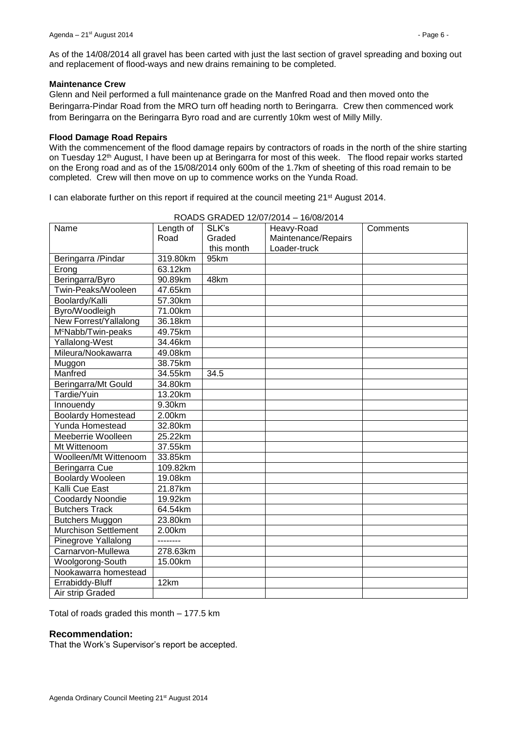As of the 14/08/2014 all gravel has been carted with just the last section of gravel spreading and boxing out and replacement of flood-ways and new drains remaining to be completed.

#### **Maintenance Crew**

Glenn and Neil performed a full maintenance grade on the Manfred Road and then moved onto the Beringarra-Pindar Road from the MRO turn off heading north to Beringarra. Crew then commenced work from Beringarra on the Beringarra Byro road and are currently 10km west of Milly Milly.

#### **Flood Damage Road Repairs**

With the commencement of the flood damage repairs by contractors of roads in the north of the shire starting on Tuesday 12<sup>th</sup> August, I have been up at Beringarra for most of this week. The flood repair works started on the Erong road and as of the 15/08/2014 only 600m of the 1.7km of sheeting of this road remain to be completed. Crew will then move on up to commence works on the Yunda Road.

I can elaborate further on this report if required at the council meeting 21<sup>st</sup> August 2014.

| Name                           | Length of             | SLK's      | Heavy-Road          | Comments |
|--------------------------------|-----------------------|------------|---------------------|----------|
|                                | Road                  | Graded     | Maintenance/Repairs |          |
|                                |                       | this month | Loader-truck        |          |
| Beringarra /Pindar             | 319.80km              | 95km       |                     |          |
| Erong                          | 63.12km               |            |                     |          |
| Beringarra/Byro                | 90.89km               | 48km       |                     |          |
| Twin-Peaks/Wooleen             | 47.65km               |            |                     |          |
| Boolardy/Kalli                 | $\overline{57.3}$ 0km |            |                     |          |
| Byro/Woodleigh                 | 71.00km               |            |                     |          |
| New Forrest/Yallalong          | 36.18km               |            |                     |          |
| M <sup>c</sup> Nabb/Twin-peaks | 49.75km               |            |                     |          |
| Yallalong-West                 | 34.46km               |            |                     |          |
| Mileura/Nookawarra             | 49.08km               |            |                     |          |
| Muggon                         | 38.75km               |            |                     |          |
| Manfred                        | 34.55km               | 34.5       |                     |          |
| Beringarra/Mt Gould            | 34.80km               |            |                     |          |
| Tardie/Yuin                    | 13.20km               |            |                     |          |
| Innouendy                      | 9.30km                |            |                     |          |
| <b>Boolardy Homestead</b>      | 2.00km                |            |                     |          |
| Yunda Homestead                | 32.80km               |            |                     |          |
| Meeberrie Woolleen             | 25.22km               |            |                     |          |
| Mt Wittenoom                   | 37.55km               |            |                     |          |
| Woolleen/Mt Wittenoom          | 33.85km               |            |                     |          |
| Beringarra Cue                 | 109.82km              |            |                     |          |
| <b>Boolardy Wooleen</b>        | 19.08km               |            |                     |          |
| Kalli Cue East                 | 21.87km               |            |                     |          |
| Coodardy Noondie               | 19.92km               |            |                     |          |
| <b>Butchers Track</b>          | 64.54km               |            |                     |          |
| <b>Butchers Muggon</b>         | 23.80km               |            |                     |          |
| <b>Murchison Settlement</b>    | 2.00km                |            |                     |          |
| Pinegrove Yallalong            | --------              |            |                     |          |
| Carnarvon-Mullewa              | 278.63km              |            |                     |          |
| Woolgorong-South               | 15.00km               |            |                     |          |
| Nookawarra homestead           |                       |            |                     |          |
| Errabiddy-Bluff                | 12km                  |            |                     |          |
| Air strip Graded               |                       |            |                     |          |

ROADS GRADED 12/07/2014 – 16/08/2014

Total of roads graded this month – 177.5 km

#### **Recommendation:**

That the Work's Supervisor's report be accepted.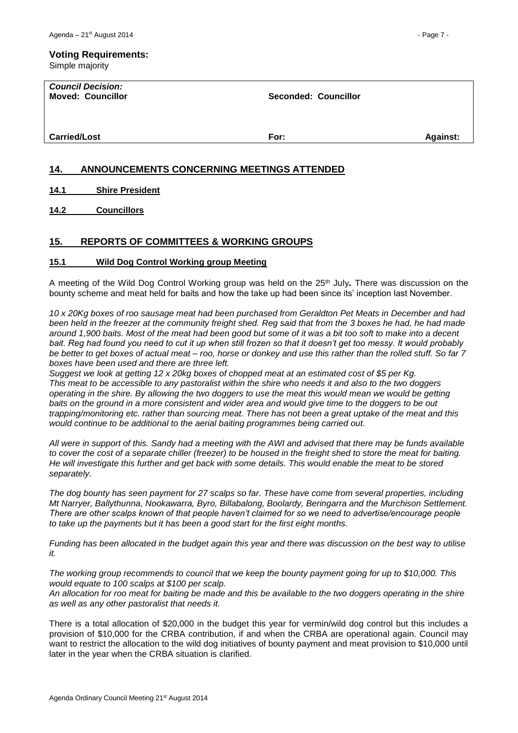# **Voting Requirements:**

Simple majority

| <b>Council Decision:</b><br><b>Moved: Councillor</b> | <b>Seconded: Councillor</b> |                 |
|------------------------------------------------------|-----------------------------|-----------------|
| <b>Carried/Lost</b>                                  | For:                        | <b>Against:</b> |

## <span id="page-6-0"></span>**14. ANNOUNCEMENTS CONCERNING MEETINGS ATTENDED**

<span id="page-6-1"></span>**14.1 Shire President**

<span id="page-6-2"></span>**14.2 Councillors**

## <span id="page-6-3"></span>**15. REPORTS OF COMMITTEES & WORKING GROUPS**

#### <span id="page-6-4"></span>**15.1 Wild Dog Control Working group Meeting**

A meeting of the Wild Dog Control Working group was held on the 25th July**.** There was discussion on the bounty scheme and meat held for baits and how the take up had been since its' inception last November.

*10 x 20Kg boxes of roo sausage meat had been purchased from Geraldton Pet Meats in December and had been held in the freezer at the community freight shed. Reg said that from the 3 boxes he had, he had made around 1,900 baits. Most of the meat had been good but some of it was a bit too soft to make into a decent bait. Reg had found you need to cut it up when still frozen so that it doesn't get too messy. It would probably be better to get boxes of actual meat – roo, horse or donkey and use this rather than the rolled stuff. So far 7 boxes have been used and there are three left.* 

*Suggest we look at getting 12 x 20kg boxes of chopped meat at an estimated cost of \$5 per Kg. This meat to be accessible to any pastoralist within the shire who needs it and also to the two doggers operating in the shire. By allowing the two doggers to use the meat this would mean we would be getting baits on the ground in a more consistent and wider area and would give time to the doggers to be out trapping/monitoring etc. rather than sourcing meat. There has not been a great uptake of the meat and this would continue to be additional to the aerial baiting programmes being carried out.*

*All were in support of this. Sandy had a meeting with the AWI and advised that there may be funds available to cover the cost of a separate chiller (freezer) to be housed in the freight shed to store the meat for baiting. He will investigate this further and get back with some details. This would enable the meat to be stored separately.*

*The dog bounty has seen payment for 27 scalps so far. These have come from several properties, including Mt Narryer, Ballythunna, Nookawarra, Byro, Billabalong, Boolardy, Beringarra and the Murchison Settlement. There are other scalps known of that people haven't claimed for so we need to advertise/encourage people to take up the payments but it has been a good start for the first eight months.*

*Funding has been allocated in the budget again this year and there was discussion on the best way to utilise it.*

*The working group recommends to council that we keep the bounty payment going for up to \$10,000. This would equate to 100 scalps at \$100 per scalp.*

*An allocation for roo meat for baiting be made and this be available to the two doggers operating in the shire as well as any other pastoralist that needs it.*

There is a total allocation of \$20,000 in the budget this year for vermin/wild dog control but this includes a provision of \$10,000 for the CRBA contribution, if and when the CRBA are operational again. Council may want to restrict the allocation to the wild dog initiatives of bounty payment and meat provision to \$10,000 until later in the year when the CRBA situation is clarified.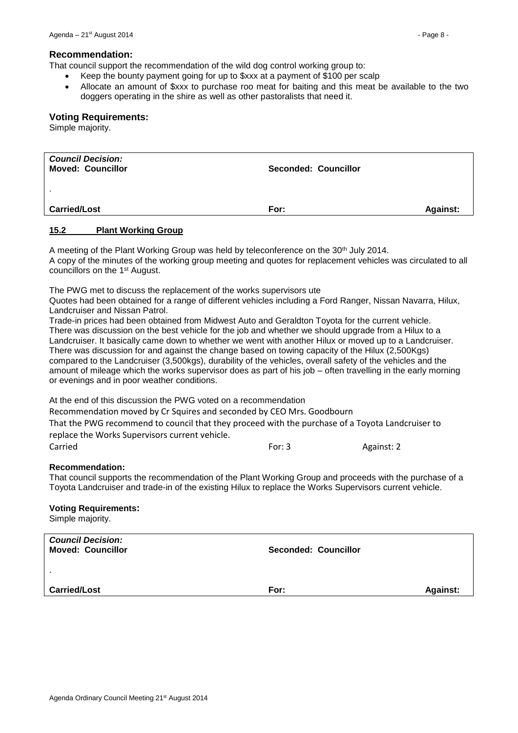#### **Recommendation:**

That council support the recommendation of the wild dog control working group to:

- Keep the bounty payment going for up to \$xxx at a payment of \$100 per scalp
- Allocate an amount of \$xxx to purchase roo meat for baiting and this meat be available to the two doggers operating in the shire as well as other pastoralists that need it.

#### **Voting Requirements:**

Simple majority.

| <b>Council Decision:</b><br><b>Moved: Councillor</b> | <b>Seconded: Councillor</b> |                 |
|------------------------------------------------------|-----------------------------|-----------------|
|                                                      |                             |                 |
| <b>Carried/Lost</b>                                  | For:                        | <b>Against:</b> |

#### <span id="page-7-0"></span>**15.2 Plant Working Group**

A meeting of the Plant Working Group was held by teleconference on the 30<sup>th</sup> July 2014. A copy of the minutes of the working group meeting and quotes for replacement vehicles was circulated to all councillors on the 1st August.

The PWG met to discuss the replacement of the works supervisors ute

Quotes had been obtained for a range of different vehicles including a Ford Ranger, Nissan Navarra, Hilux, Landcruiser and Nissan Patrol.

Trade-in prices had been obtained from Midwest Auto and Geraldton Toyota for the current vehicle. There was discussion on the best vehicle for the job and whether we should upgrade from a Hilux to a Landcruiser. It basically came down to whether we went with another Hilux or moved up to a Landcruiser. There was discussion for and against the change based on towing capacity of the Hilux (2,500Kgs) compared to the Landcruiser (3,500kgs), durability of the vehicles, overall safety of the vehicles and the amount of mileage which the works supervisor does as part of his job – often travelling in the early morning or evenings and in poor weather conditions.

At the end of this discussion the PWG voted on a recommendation

Recommendation moved by Cr Squires and seconded by CEO Mrs. Goodbourn

That the PWG recommend to council that they proceed with the purchase of a Toyota Landcruiser to replace the Works Supervisors current vehicle.

Carried **For: 3** Against: 2

#### **Recommendation:**

That council supports the recommendation of the Plant Working Group and proceeds with the purchase of a Toyota Landcruiser and trade-in of the existing Hilux to replace the Works Supervisors current vehicle.

#### **Voting Requirements:**

Simple majority.

| <b>Council Decision:</b><br><b>Moved: Councillor</b> | <b>Seconded: Councillor</b> |                 |
|------------------------------------------------------|-----------------------------|-----------------|
| . .                                                  |                             |                 |
| <b>Carried/Lost</b>                                  | For:                        | <b>Against:</b> |
|                                                      |                             |                 |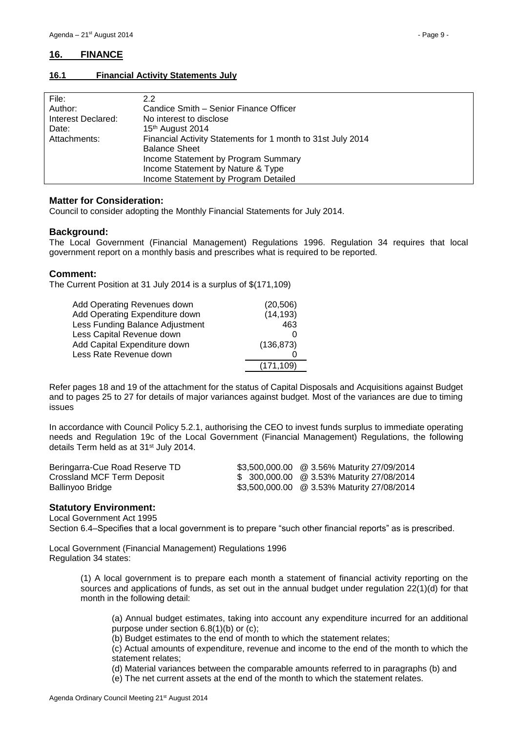# <span id="page-8-0"></span>**16. FINANCE**

#### <span id="page-8-1"></span>**16.1 Financial Activity Statements July**

| File:              | 2.2                                                         |
|--------------------|-------------------------------------------------------------|
| Author:            | Candice Smith – Senior Finance Officer                      |
| Interest Declared: | No interest to disclose                                     |
| Date:              | 15 <sup>th</sup> August 2014                                |
| Attachments:       | Financial Activity Statements for 1 month to 31st July 2014 |
|                    | <b>Balance Sheet</b>                                        |
|                    | Income Statement by Program Summary                         |
|                    | Income Statement by Nature & Type                           |
|                    | Income Statement by Program Detailed                        |

#### **Matter for Consideration:**

Council to consider adopting the Monthly Financial Statements for July 2014.

#### **Background:**

The Local Government (Financial Management) Regulations 1996. Regulation 34 requires that local government report on a monthly basis and prescribes what is required to be reported.

#### **Comment:**

The Current Position at 31 July 2014 is a surplus of \$(171,109)

| Add Operating Revenues down     | (20, 506)  |
|---------------------------------|------------|
| Add Operating Expenditure down  | (14, 193)  |
| Less Funding Balance Adjustment | 463        |
| Less Capital Revenue down       |            |
| Add Capital Expenditure down    | (136, 873) |
| Less Rate Revenue down          |            |
|                                 | (171, 109) |

Refer pages 18 and 19 of the attachment for the status of Capital Disposals and Acquisitions against Budget and to pages 25 to 27 for details of major variances against budget. Most of the variances are due to timing issues

In accordance with Council Policy 5.2.1, authorising the CEO to invest funds surplus to immediate operating needs and Regulation 19c of the Local Government (Financial Management) Regulations, the following details Term held as at 31<sup>st</sup> July 2014.

| Beringarra-Cue Road Reserve TD | \$3,500,000.00 @ 3.56% Maturity 27/09/2014 |
|--------------------------------|--------------------------------------------|
| Crossland MCF Term Deposit     | \$ 300,000.00 @ 3.53% Maturity 27/08/2014  |
| Ballinyoo Bridge               | \$3,500,000.00 @ 3.53% Maturity 27/08/2014 |

#### **Statutory Environment:**

Local Government Act 1995

Section 6.4–Specifies that a local government is to prepare "such other financial reports" as is prescribed.

Local Government (Financial Management) Regulations 1996 Regulation 34 states:

> (1) A local government is to prepare each month a statement of financial activity reporting on the sources and applications of funds, as set out in the annual budget under regulation 22(1)(d) for that month in the following detail:

(a) Annual budget estimates, taking into account any expenditure incurred for an additional purpose under section 6.8(1)(b) or (c);

(b) Budget estimates to the end of month to which the statement relates;

(c) Actual amounts of expenditure, revenue and income to the end of the month to which the statement relates;

(d) Material variances between the comparable amounts referred to in paragraphs (b) and

(e) The net current assets at the end of the month to which the statement relates.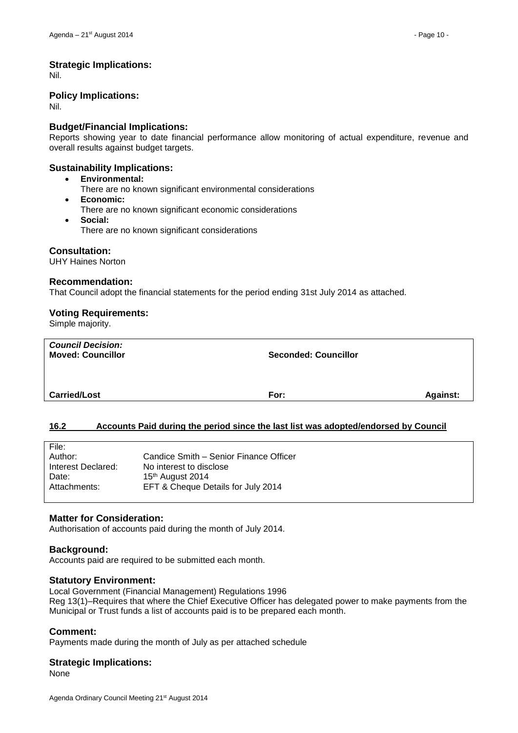#### **Strategic Implications:**

Nil.

#### **Policy Implications:**

Nil.

## **Budget/Financial Implications:**

Reports showing year to date financial performance allow monitoring of actual expenditure, revenue and overall results against budget targets.

#### **Sustainability Implications:**

- **Environmental:**
	- There are no known significant environmental considerations
- **Economic:** There are no known significant economic considerations
- **Social:** There are no known significant considerations

#### **Consultation:**

UHY Haines Norton

#### **Recommendation:**

That Council adopt the financial statements for the period ending 31st July 2014 as attached.

#### **Voting Requirements:**

Simple majority.

| <b>Council Decision:</b><br><b>Moved: Councillor</b> | <b>Seconded: Councillor</b> |                 |
|------------------------------------------------------|-----------------------------|-----------------|
| <b>Carried/Lost</b>                                  | For:                        | <b>Against:</b> |

# <span id="page-9-0"></span>**16.2 Accounts Paid during the period since the last list was adopted/endorsed by Council**

| File:              |                                        |
|--------------------|----------------------------------------|
| Author:            | Candice Smith – Senior Finance Officer |
| Interest Declared: | No interest to disclose                |
| Date:              | 15th August 2014                       |
| Attachments:       | EFT & Cheque Details for July 2014     |
|                    |                                        |

#### **Matter for Consideration:**

Authorisation of accounts paid during the month of July 2014.

#### **Background:**

Accounts paid are required to be submitted each month.

#### **Statutory Environment:**

Local Government (Financial Management) Regulations 1996 Reg 13(1)–Requires that where the Chief Executive Officer has delegated power to make payments from the Municipal or Trust funds a list of accounts paid is to be prepared each month.

#### **Comment:**

Payments made during the month of July as per attached schedule

#### **Strategic Implications:**

None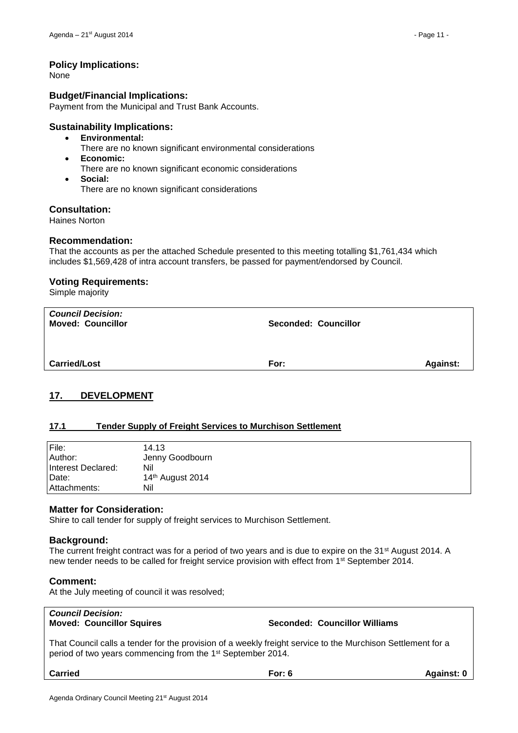## **Policy Implications:**

None

#### **Budget/Financial Implications:**

Payment from the Municipal and Trust Bank Accounts.

## **Sustainability Implications:**

- **Environmental:**
	- There are no known significant environmental considerations
- **Economic:**
	- There are no known significant economic considerations
- **Social:**
	- There are no known significant considerations

## **Consultation:**

Haines Norton

#### **Recommendation:**

That the accounts as per the attached Schedule presented to this meeting totalling \$1,761,434 which includes \$1,569,428 of intra account transfers, be passed for payment/endorsed by Council.

#### **Voting Requirements:**

Simple majority

| <b>Council Decision:</b><br><b>Moved: Councillor</b> | <b>Seconded: Councillor</b> |                 |
|------------------------------------------------------|-----------------------------|-----------------|
| <b>Carried/Lost</b>                                  | For:                        | <b>Against:</b> |

# <span id="page-10-0"></span>**17. DEVELOPMENT**

#### <span id="page-10-1"></span>**17.1 Tender Supply of Freight Services to Murchison Settlement**

| File:              | 14.13                        |
|--------------------|------------------------------|
| Author:            | Jenny Goodbourn              |
| Interest Declared: | Nil                          |
| Date:              | 14 <sup>th</sup> August 2014 |
| Attachments:       | Nil                          |

#### **Matter for Consideration:**

Shire to call tender for supply of freight services to Murchison Settlement.

#### **Background:**

The current freight contract was for a period of two years and is due to expire on the 31<sup>st</sup> August 2014. A new tender needs to be called for freight service provision with effect from 1<sup>st</sup> September 2014.

#### **Comment:**

At the July meeting of council it was resolved;

# *Council Decision:*

**Moved: Councillor Squires Seconded: Councillor Williams**

That Council calls a tender for the provision of a weekly freight service to the Murchison Settlement for a period of two years commencing from the 1st September 2014.

**Carried For: 6 Against: 0**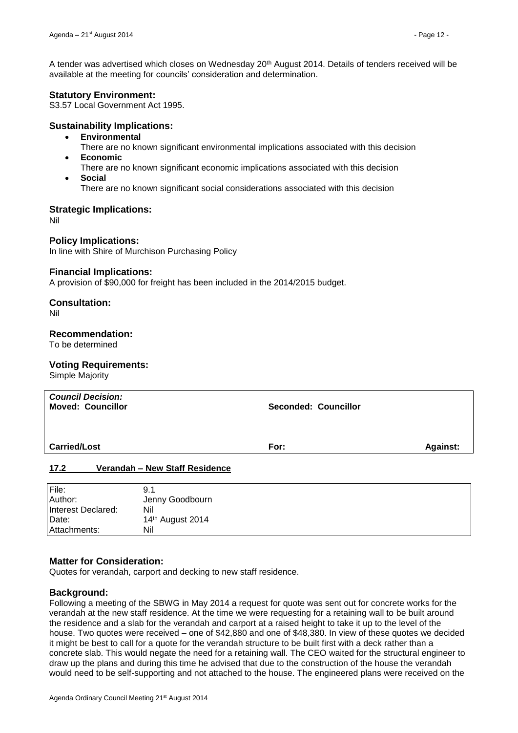A tender was advertised which closes on Wednesday 20th August 2014. Details of tenders received will be available at the meeting for councils' consideration and determination.

# **Statutory Environment:**

S3.57 Local Government Act 1995.

# **Sustainability Implications:**

- **Environmental**
	- There are no known significant environmental implications associated with this decision
- **Economic**
	- There are no known significant economic implications associated with this decision
- **Social**
	- There are no known significant social considerations associated with this decision

# **Strategic Implications:**

Nil

# **Policy Implications:**

In line with Shire of Murchison Purchasing Policy

## **Financial Implications:**

A provision of \$90,000 for freight has been included in the 2014/2015 budget.

# **Consultation:**

Nil

# **Recommendation:**

To be determined

# **Voting Requirements:**

Simple Majority

|                     | <b>Council Decision:</b><br><b>Moved: Councillor</b> | <b>Seconded: Councillor</b> |          |
|---------------------|------------------------------------------------------|-----------------------------|----------|
| <b>Carried/Lost</b> |                                                      | For:                        | Against: |
| 17.2                | Verandah - New Staff Residence                       |                             |          |
| Eil <sub>2</sub>    | 0.1                                                  |                             |          |

<span id="page-11-0"></span>

| File:              | 9.1              |
|--------------------|------------------|
| Author:            | Jenny Goodbourn  |
| Interest Declared: | Nil              |
| Date:              | 14th August 2014 |
| Attachments:       | Nil              |

# **Matter for Consideration:**

Quotes for verandah, carport and decking to new staff residence.

# **Background:**

Following a meeting of the SBWG in May 2014 a request for quote was sent out for concrete works for the verandah at the new staff residence. At the time we were requesting for a retaining wall to be built around the residence and a slab for the verandah and carport at a raised height to take it up to the level of the house. Two quotes were received – one of \$42,880 and one of \$48,380. In view of these quotes we decided it might be best to call for a quote for the verandah structure to be built first with a deck rather than a concrete slab. This would negate the need for a retaining wall. The CEO waited for the structural engineer to draw up the plans and during this time he advised that due to the construction of the house the verandah would need to be self-supporting and not attached to the house. The engineered plans were received on the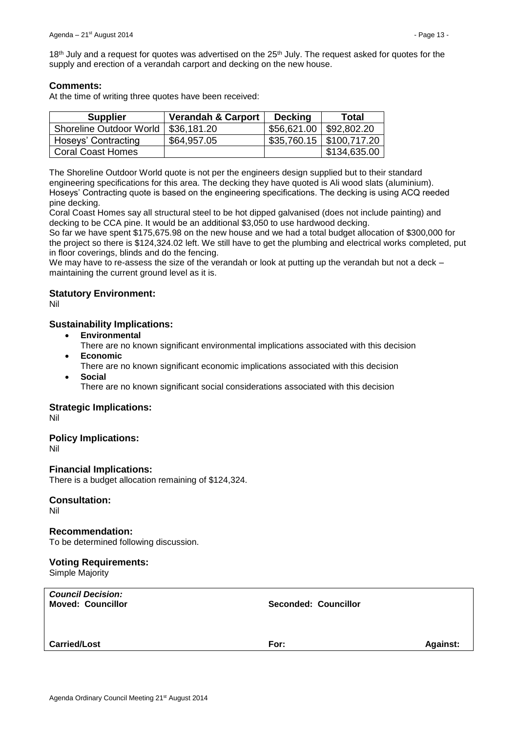18<sup>th</sup> July and a request for quotes was advertised on the 25<sup>th</sup> July. The request asked for quotes for the supply and erection of a verandah carport and decking on the new house.

# **Comments:**

At the time of writing three quotes have been received:

| <b>Supplier</b>          | <b>Verandah &amp; Carport</b> | <b>Decking</b>            | Total                         |
|--------------------------|-------------------------------|---------------------------|-------------------------------|
| Shoreline Outdoor World  | \$36,181.20                   | \$56,621.00   \$92,802.20 |                               |
| Hoseys' Contracting      | \$64,957.05                   |                           | $$35,760.15 \mid $100,717.20$ |
| <b>Coral Coast Homes</b> |                               |                           | \$134,635.00                  |

The Shoreline Outdoor World quote is not per the engineers design supplied but to their standard engineering specifications for this area. The decking they have quoted is Ali wood slats (aluminium). Hoseys' Contracting quote is based on the engineering specifications. The decking is using ACQ reeded pine decking.

Coral Coast Homes say all structural steel to be hot dipped galvanised (does not include painting) and decking to be CCA pine. It would be an additional \$3,050 to use hardwood decking.

So far we have spent \$175,675.98 on the new house and we had a total budget allocation of \$300,000 for the project so there is \$124,324.02 left. We still have to get the plumbing and electrical works completed, put in floor coverings, blinds and do the fencing.

We may have to re-assess the size of the verandah or look at putting up the verandah but not a deck – maintaining the current ground level as it is.

# **Statutory Environment:**

Nil

## **Sustainability Implications:**

- **Environmental**
- There are no known significant environmental implications associated with this decision
- **Economic**
	- There are no known significant economic implications associated with this decision
- **Social**
	- There are no known significant social considerations associated with this decision

#### **Strategic Implications:**

Nil

#### **Policy Implications:**

Nil

#### **Financial Implications:**

There is a budget allocation remaining of \$124,324.

#### **Consultation:**

Nil

#### **Recommendation:**

To be determined following discussion.

#### **Voting Requirements:**

Simple Majority

| <b>Council Decision:</b><br><b>Moved: Councillor</b> | <b>Seconded: Councillor</b> |                 |
|------------------------------------------------------|-----------------------------|-----------------|
|                                                      |                             |                 |
| <b>Carried/Lost</b>                                  | For:                        | <b>Against:</b> |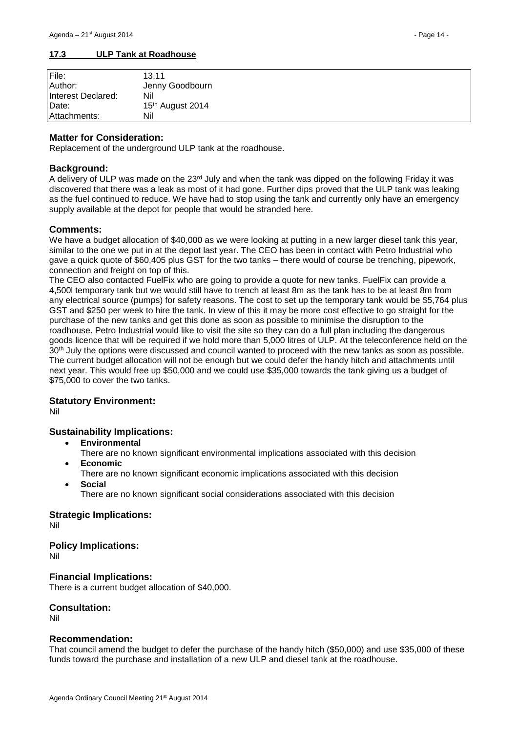#### <span id="page-13-0"></span>**17.3 ULP Tank at Roadhouse**

| File:              | 13.11            |
|--------------------|------------------|
| Author:            | Jenny Goodbourn  |
| Interest Declared: | Nil              |
| Date:              | 15th August 2014 |
| Attachments:       | Nil              |

#### **Matter for Consideration:**

Replacement of the underground ULP tank at the roadhouse.

#### **Background:**

A delivery of ULP was made on the  $23<sup>rd</sup>$  July and when the tank was dipped on the following Friday it was discovered that there was a leak as most of it had gone. Further dips proved that the ULP tank was leaking as the fuel continued to reduce. We have had to stop using the tank and currently only have an emergency supply available at the depot for people that would be stranded here.

#### **Comments:**

We have a budget allocation of \$40,000 as we were looking at putting in a new larger diesel tank this year, similar to the one we put in at the depot last year. The CEO has been in contact with Petro Industrial who gave a quick quote of \$60,405 plus GST for the two tanks – there would of course be trenching, pipework, connection and freight on top of this.

The CEO also contacted FuelFix who are going to provide a quote for new tanks. FuelFix can provide a 4,500l temporary tank but we would still have to trench at least 8m as the tank has to be at least 8m from any electrical source (pumps) for safety reasons. The cost to set up the temporary tank would be \$5,764 plus GST and \$250 per week to hire the tank. In view of this it may be more cost effective to go straight for the purchase of the new tanks and get this done as soon as possible to minimise the disruption to the roadhouse. Petro Industrial would like to visit the site so they can do a full plan including the dangerous goods licence that will be required if we hold more than 5,000 litres of ULP. At the teleconference held on the 30<sup>th</sup> July the options were discussed and council wanted to proceed with the new tanks as soon as possible. The current budget allocation will not be enough but we could defer the handy hitch and attachments until next year. This would free up \$50,000 and we could use \$35,000 towards the tank giving us a budget of \$75,000 to cover the two tanks.

#### **Statutory Environment:**

Nil

#### **Sustainability Implications:**

- **Environmental**
	- There are no known significant environmental implications associated with this decision **Economic**
	- There are no known significant economic implications associated with this decision
- **Social**

There are no known significant social considerations associated with this decision

#### **Strategic Implications:**

Nil

# **Policy Implications:**

Nil

#### **Financial Implications:**

There is a current budget allocation of \$40,000.

# **Consultation:**

Nil

#### **Recommendation:**

That council amend the budget to defer the purchase of the handy hitch (\$50,000) and use \$35,000 of these funds toward the purchase and installation of a new ULP and diesel tank at the roadhouse.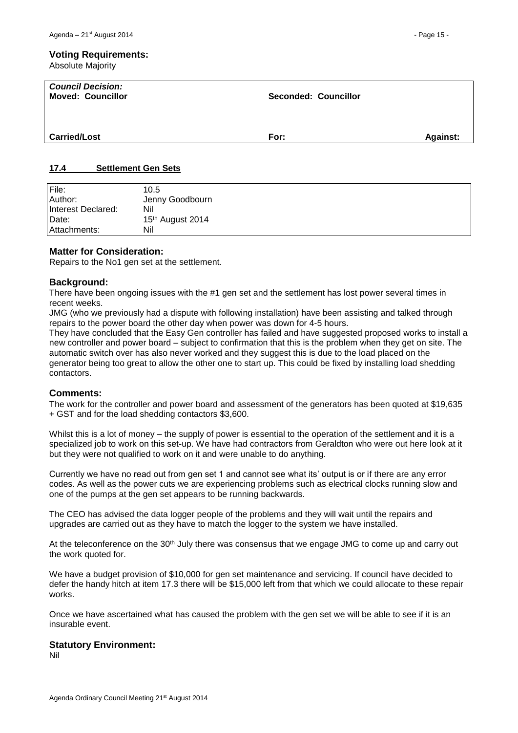Absolute Majority

| <b>Council Decision:</b><br><b>Moved: Councillor</b> | <b>Seconded: Councillor</b> |                 |
|------------------------------------------------------|-----------------------------|-----------------|
| <b>Carried/Lost</b>                                  | For:                        | <b>Against:</b> |

#### <span id="page-14-0"></span>**17.4 Settlement Gen Sets**

| File:<br>Author:   | 10.5<br>Jenny Goodbourn      |
|--------------------|------------------------------|
| Interest Declared: | Nil                          |
| Date:              | 15 <sup>th</sup> August 2014 |
| Attachments:       | Nil                          |

#### **Matter for Consideration:**

Repairs to the No1 gen set at the settlement.

## **Background:**

There have been ongoing issues with the #1 gen set and the settlement has lost power several times in recent weeks.

JMG (who we previously had a dispute with following installation) have been assisting and talked through repairs to the power board the other day when power was down for 4-5 hours.

They have concluded that the Easy Gen controller has failed and have suggested proposed works to install a new controller and power board – subject to confirmation that this is the problem when they get on site. The automatic switch over has also never worked and they suggest this is due to the load placed on the generator being too great to allow the other one to start up. This could be fixed by installing load shedding contactors.

#### **Comments:**

The work for the controller and power board and assessment of the generators has been quoted at \$19,635 + GST and for the load shedding contactors \$3,600.

Whilst this is a lot of money – the supply of power is essential to the operation of the settlement and it is a specialized job to work on this set-up. We have had contractors from Geraldton who were out here look at it but they were not qualified to work on it and were unable to do anything.

Currently we have no read out from gen set 1 and cannot see what its' output is or if there are any error codes. As well as the power cuts we are experiencing problems such as electrical clocks running slow and one of the pumps at the gen set appears to be running backwards.

The CEO has advised the data logger people of the problems and they will wait until the repairs and upgrades are carried out as they have to match the logger to the system we have installed.

At the teleconference on the 30<sup>th</sup> July there was consensus that we engage JMG to come up and carry out the work quoted for.

We have a budget provision of \$10,000 for gen set maintenance and servicing. If council have decided to defer the handy hitch at item 17.3 there will be \$15,000 left from that which we could allocate to these repair works.

Once we have ascertained what has caused the problem with the gen set we will be able to see if it is an insurable event.

#### **Statutory Environment:**

Nil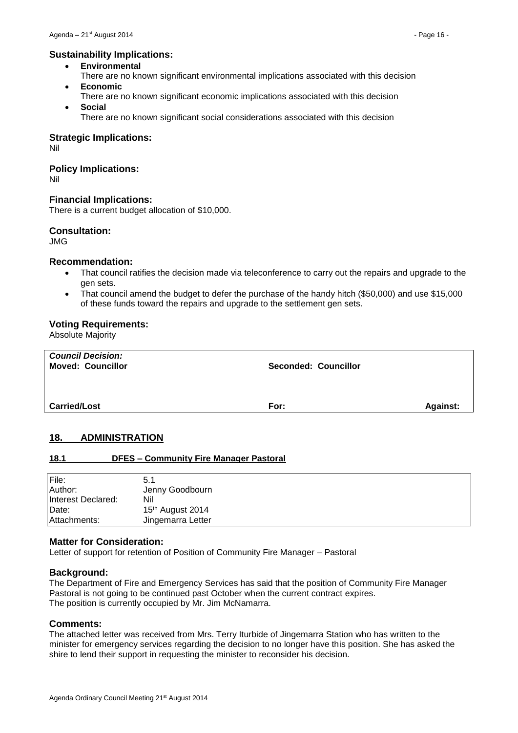## **Sustainability Implications:**

- **Environmental**
- There are no known significant environmental implications associated with this decision **Economic**
- There are no known significant economic implications associated with this decision
- **Social** There are no known significant social considerations associated with this decision

#### **Strategic Implications:**

Nil

## **Policy Implications:**

Nil

# **Financial Implications:**

There is a current budget allocation of \$10,000.

## **Consultation:**

JMG

#### **Recommendation:**

- That council ratifies the decision made via teleconference to carry out the repairs and upgrade to the gen sets.
- That council amend the budget to defer the purchase of the handy hitch (\$50,000) and use \$15,000 of these funds toward the repairs and upgrade to the settlement gen sets.

#### **Voting Requirements:**

Absolute Majority

| <b>Council Decision:</b><br><b>Moved: Councillor</b> | <b>Seconded: Councillor</b> |                 |
|------------------------------------------------------|-----------------------------|-----------------|
| <b>Carried/Lost</b>                                  | For:                        | <b>Against:</b> |

#### <span id="page-15-0"></span>**18. ADMINISTRATION**

#### <span id="page-15-1"></span>**18.1 DFES – Community Fire Manager Pastoral**

| File:              | 5.1               |
|--------------------|-------------------|
| Author:            | Jenny Goodbourn   |
| Interest Declared: | Nil               |
| Date:              | 15th August 2014  |
| Attachments:       | Jingemarra Letter |

## **Matter for Consideration:**

Letter of support for retention of Position of Community Fire Manager – Pastoral

#### **Background:**

The Department of Fire and Emergency Services has said that the position of Community Fire Manager Pastoral is not going to be continued past October when the current contract expires. The position is currently occupied by Mr. Jim McNamarra.

#### **Comments:**

The attached letter was received from Mrs. Terry Iturbide of Jingemarra Station who has written to the minister for emergency services regarding the decision to no longer have this position. She has asked the shire to lend their support in requesting the minister to reconsider his decision.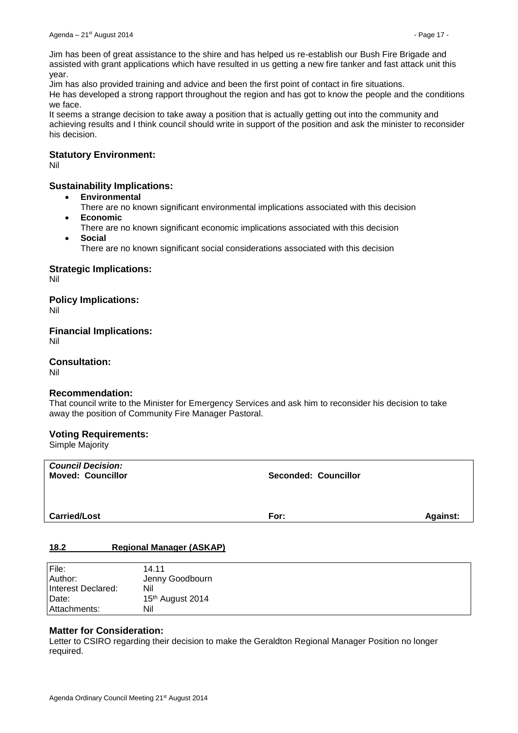Jim has been of great assistance to the shire and has helped us re-establish our Bush Fire Brigade and assisted with grant applications which have resulted in us getting a new fire tanker and fast attack unit this year.

Jim has also provided training and advice and been the first point of contact in fire situations.

He has developed a strong rapport throughout the region and has got to know the people and the conditions we face.

It seems a strange decision to take away a position that is actually getting out into the community and achieving results and I think council should write in support of the position and ask the minister to reconsider his decision.

#### **Statutory Environment:**

Nil

## **Sustainability Implications:**

- **Environmental**
	- There are no known significant environmental implications associated with this decision **Economic**
- There are no known significant economic implications associated with this decision **Social**
	- There are no known significant social considerations associated with this decision

## **Strategic Implications:**

Nil

**Policy Implications:** Nil

**Financial Implications:** Nil

**Consultation:**

Nil

#### **Recommendation:**

That council write to the Minister for Emergency Services and ask him to reconsider his decision to take away the position of Community Fire Manager Pastoral.

#### **Voting Requirements:**

Simple Majority

| <b>Council Decision:</b><br><b>Moved: Councillor</b> | Seconded: Councillor |                 |
|------------------------------------------------------|----------------------|-----------------|
| <b>Carried/Lost</b>                                  | For:                 | <b>Against:</b> |

#### <span id="page-16-0"></span>**18.2 Regional Manager (ASKAP)**

| File:              | 14.11            |
|--------------------|------------------|
| Author:            | Jenny Goodbourn  |
| Interest Declared: | Nil              |
| Date:              | 15th August 2014 |
| Attachments:       | Nil              |

#### **Matter for Consideration:**

Letter to CSIRO regarding their decision to make the Geraldton Regional Manager Position no longer required.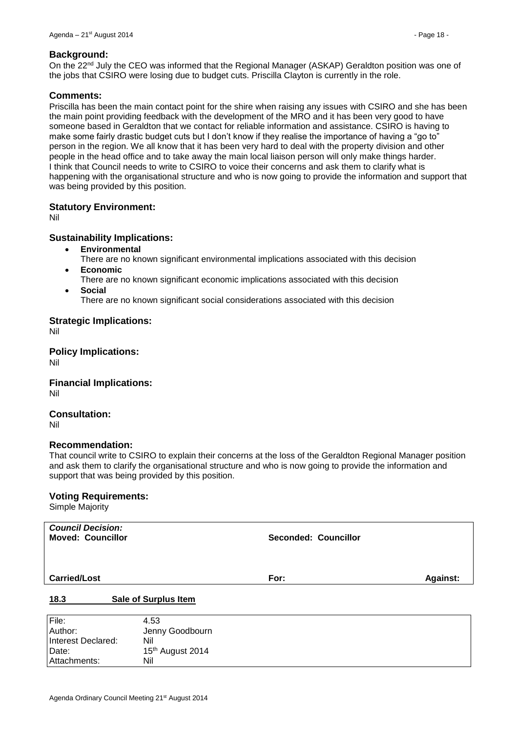#### **Background:**

On the 22<sup>nd</sup> July the CEO was informed that the Regional Manager (ASKAP) Geraldton position was one of the jobs that CSIRO were losing due to budget cuts. Priscilla Clayton is currently in the role.

#### **Comments:**

Priscilla has been the main contact point for the shire when raising any issues with CSIRO and she has been the main point providing feedback with the development of the MRO and it has been very good to have someone based in Geraldton that we contact for reliable information and assistance. CSIRO is having to make some fairly drastic budget cuts but I don't know if they realise the importance of having a "go to" person in the region. We all know that it has been very hard to deal with the property division and other people in the head office and to take away the main local liaison person will only make things harder. I think that Council needs to write to CSIRO to voice their concerns and ask them to clarify what is happening with the organisational structure and who is now going to provide the information and support that was being provided by this position.

#### **Statutory Environment:**

Nil

#### **Sustainability Implications:**

- **Environmental**
- There are no known significant environmental implications associated with this decision **Economic**
- There are no known significant economic implications associated with this decision
- **Social**

There are no known significant social considerations associated with this decision

## **Strategic Implications:**

Nil

**Policy Implications:**

Nil

**Financial Implications:** Nil

**Consultation:** Nil

#### **Recommendation:**

That council write to CSIRO to explain their concerns at the loss of the Geraldton Regional Manager position and ask them to clarify the organisational structure and who is now going to provide the information and support that was being provided by this position.

#### **Voting Requirements:**

<span id="page-17-0"></span>Attachments: Nil

Simple Majority

| <b>Council Decision:</b><br><b>Moved: Councillor</b> |                              | <b>Seconded: Councillor</b> |                 |
|------------------------------------------------------|------------------------------|-----------------------------|-----------------|
| <b>Carried/Lost</b>                                  |                              | For:                        | <b>Against:</b> |
|                                                      |                              |                             |                 |
| 18.3                                                 | Sale of Surplus Item         |                             |                 |
| File:                                                | 4.53                         |                             |                 |
| Author:                                              | Jenny Goodbourn              |                             |                 |
| Interest Declared:                                   | Nil                          |                             |                 |
| Date:                                                | 15 <sup>th</sup> August 2014 |                             |                 |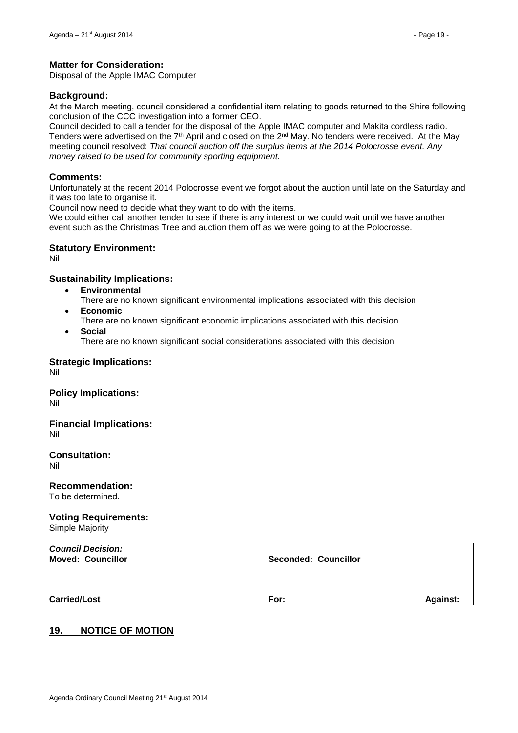## **Matter for Consideration:**

Disposal of the Apple IMAC Computer

#### **Background:**

At the March meeting, council considered a confidential item relating to goods returned to the Shire following conclusion of the CCC investigation into a former CEO.

Council decided to call a tender for the disposal of the Apple IMAC computer and Makita cordless radio. Tenders were advertised on the  $7<sup>th</sup>$  April and closed on the  $2<sup>nd</sup>$  May. No tenders were received. At the May meeting council resolved: *That council auction off the surplus items at the 2014 Polocrosse event. Any money raised to be used for community sporting equipment.*

#### **Comments:**

Unfortunately at the recent 2014 Polocrosse event we forgot about the auction until late on the Saturday and it was too late to organise it.

Council now need to decide what they want to do with the items.

We could either call another tender to see if there is any interest or we could wait until we have another event such as the Christmas Tree and auction them off as we were going to at the Polocrosse.

#### **Statutory Environment:**

Nil

## **Sustainability Implications:**

- **Environmental**
	- There are no known significant environmental implications associated with this decision
- **Economic**
	- There are no known significant economic implications associated with this decision
- **Social**

There are no known significant social considerations associated with this decision

**Strategic Implications:** Nil

**Policy Implications:** Nil

#### **Financial Implications:** Nil

**Consultation:**

Nil

# **Recommendation:**

To be determined.

# **Voting Requirements:**

Simple Majority

| <b>Council Decision:</b><br><b>Moved: Councillor</b> | <b>Seconded: Councillor</b> |                 |
|------------------------------------------------------|-----------------------------|-----------------|
| <b>Carried/Lost</b>                                  | For:                        | <b>Against:</b> |
|                                                      |                             |                 |

# <span id="page-18-0"></span>**19. NOTICE OF MOTION**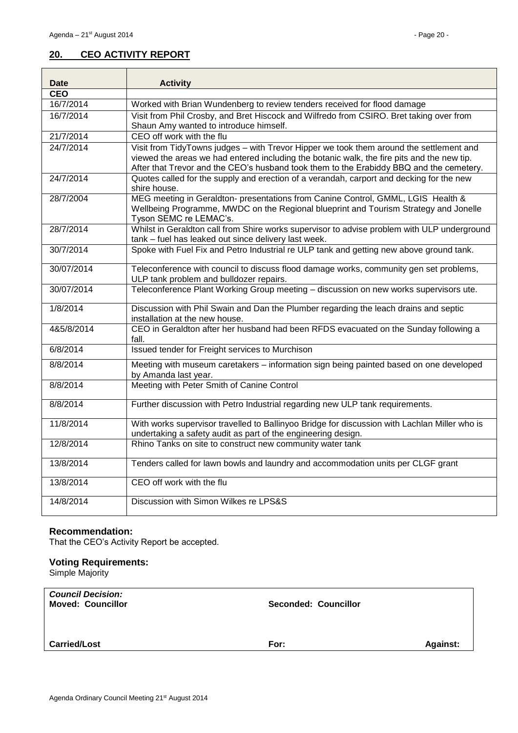# <span id="page-19-0"></span>**20. CEO ACTIVITY REPORT**

| Date       | <b>Activity</b>                                                                                                                                                                                                                                                                  |
|------------|----------------------------------------------------------------------------------------------------------------------------------------------------------------------------------------------------------------------------------------------------------------------------------|
| <b>CEO</b> |                                                                                                                                                                                                                                                                                  |
| 16/7/2014  | Worked with Brian Wundenberg to review tenders received for flood damage                                                                                                                                                                                                         |
| 16/7/2014  | Visit from Phil Crosby, and Bret Hiscock and Wilfredo from CSIRO. Bret taking over from<br>Shaun Amy wanted to introduce himself.                                                                                                                                                |
| 21/7/2014  | CEO off work with the flu                                                                                                                                                                                                                                                        |
| 24/7/2014  | Visit from TidyTowns judges - with Trevor Hipper we took them around the settlement and<br>viewed the areas we had entered including the botanic walk, the fire pits and the new tip.<br>After that Trevor and the CEO's husband took them to the Erabiddy BBQ and the cemetery. |
| 24/7/2014  | Quotes called for the supply and erection of a verandah, carport and decking for the new<br>shire house.                                                                                                                                                                         |
| 28/7/2004  | MEG meeting in Geraldton- presentations from Canine Control, GMML, LGIS Health &<br>Wellbeing Programme, MWDC on the Regional blueprint and Tourism Strategy and Jonelle<br>Tyson SEMC re LEMAC's.                                                                               |
| 28/7/2014  | Whilst in Geraldton call from Shire works supervisor to advise problem with ULP underground<br>tank - fuel has leaked out since delivery last week.                                                                                                                              |
| 30/7/2014  | Spoke with Fuel Fix and Petro Industrial re ULP tank and getting new above ground tank.                                                                                                                                                                                          |
| 30/07/2014 | Teleconference with council to discuss flood damage works, community gen set problems,<br>ULP tank problem and bulldozer repairs.                                                                                                                                                |
| 30/07/2014 | Teleconference Plant Working Group meeting - discussion on new works supervisors ute.                                                                                                                                                                                            |
| 1/8/2014   | Discussion with Phil Swain and Dan the Plumber regarding the leach drains and septic<br>installation at the new house.                                                                                                                                                           |
| 4&5/8/2014 | CEO in Geraldton after her husband had been RFDS evacuated on the Sunday following a<br>fall.                                                                                                                                                                                    |
| 6/8/2014   | Issued tender for Freight services to Murchison                                                                                                                                                                                                                                  |
| 8/8/2014   | Meeting with museum caretakers - information sign being painted based on one developed<br>by Amanda last year.                                                                                                                                                                   |
| 8/8/2014   | Meeting with Peter Smith of Canine Control                                                                                                                                                                                                                                       |
| 8/8/2014   | Further discussion with Petro Industrial regarding new ULP tank requirements.                                                                                                                                                                                                    |
| 11/8/2014  | With works supervisor travelled to Ballinyoo Bridge for discussion with Lachlan Miller who is<br>undertaking a safety audit as part of the engineering design.                                                                                                                   |
| 12/8/2014  | Rhino Tanks on site to construct new community water tank                                                                                                                                                                                                                        |
| 13/8/2014  | Tenders called for lawn bowls and laundry and accommodation units per CLGF grant                                                                                                                                                                                                 |
| 13/8/2014  | CEO off work with the flu                                                                                                                                                                                                                                                        |
| 14/8/2014  | Discussion with Simon Wilkes re LPS&S                                                                                                                                                                                                                                            |

## **Recommendation:**

That the CEO's Activity Report be accepted.

# **Voting Requirements:**

Simple Majority

| <b>Against:</b><br>For: |
|-------------------------|
|                         |
|                         |